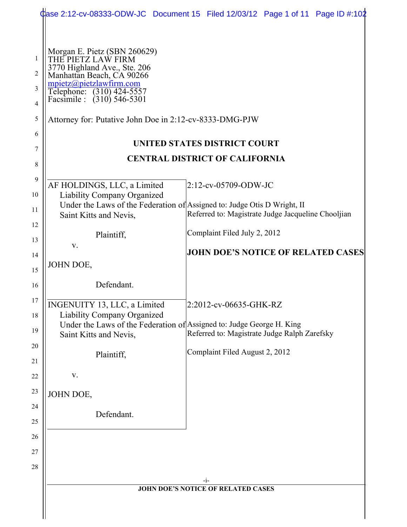|                | Case 2:12-cv-08333-ODW-JC Document 15 Filed 12/03/12 Page 1 of 11 Page ID #:102                                 |                                              |                                                    |  |  |
|----------------|-----------------------------------------------------------------------------------------------------------------|----------------------------------------------|----------------------------------------------------|--|--|
|                |                                                                                                                 |                                              |                                                    |  |  |
| 1<br>2         | Morgan E. Pietz (SBN 260629)<br>THE PIETZ LAW FIRM<br>3770 Highland Ave., Ste. 206<br>Manhattan Beach, CA 90266 |                                              |                                                    |  |  |
| 3              | mpietz@pietzlawfirm.com                                                                                         |                                              |                                                    |  |  |
| $\overline{4}$ | Telephone: (310) 424-5557<br>Facsimile : (310) 546-5301                                                         |                                              |                                                    |  |  |
| 5              | Attorney for: Putative John Doe in 2:12-cv-8333-DMG-PJW                                                         |                                              |                                                    |  |  |
| 6              | UNITED STATES DISTRICT COURT                                                                                    |                                              |                                                    |  |  |
| 7              | <b>CENTRAL DISTRICT OF CALIFORNIA</b>                                                                           |                                              |                                                    |  |  |
| 8              |                                                                                                                 |                                              |                                                    |  |  |
| 9<br>10        | AF HOLDINGS, LLC, a Limited<br><b>Liability Company Organized</b>                                               | $2:12$ -cv-05709-ODW-JC                      |                                                    |  |  |
| 11             | Under the Laws of the Federation of Assigned to: Judge Otis D Wright, II                                        |                                              |                                                    |  |  |
| 12             | Saint Kitts and Nevis,                                                                                          |                                              | Referred to: Magistrate Judge Jacqueline Chooljian |  |  |
| 13             | Plaintiff,                                                                                                      | Complaint Filed July 2, 2012                 |                                                    |  |  |
| 14             | V.                                                                                                              |                                              | <b>JOHN DOE'S NOTICE OF RELATED CASES</b>          |  |  |
| 15             | JOHN DOE,                                                                                                       |                                              |                                                    |  |  |
| 16             | Defendant.                                                                                                      |                                              |                                                    |  |  |
| 17             | INGENUITY 13, LLC, a Limited                                                                                    | 2:2012-cv-06635-GHK-RZ                       |                                                    |  |  |
| 18             | <b>Liability Company Organized</b>                                                                              |                                              |                                                    |  |  |
| 19             | Under the Laws of the Federation of Assigned to: Judge George H. King<br>Saint Kitts and Nevis,                 | Referred to: Magistrate Judge Ralph Zarefsky |                                                    |  |  |
| 20             |                                                                                                                 |                                              |                                                    |  |  |
| 21             | Plaintiff,                                                                                                      | Complaint Filed August 2, 2012               |                                                    |  |  |
| 22             | V.                                                                                                              |                                              |                                                    |  |  |
| 23             | JOHN DOE,                                                                                                       |                                              |                                                    |  |  |
| 24             |                                                                                                                 |                                              |                                                    |  |  |
| 25             | Defendant.                                                                                                      |                                              |                                                    |  |  |
| 26             |                                                                                                                 |                                              |                                                    |  |  |
| 27             |                                                                                                                 |                                              |                                                    |  |  |
| 28             |                                                                                                                 |                                              |                                                    |  |  |
|                | -i-                                                                                                             |                                              |                                                    |  |  |
|                | <b>JOHN DOE'S NOTICE OF RELATED CASES</b>                                                                       |                                              |                                                    |  |  |
|                |                                                                                                                 |                                              |                                                    |  |  |
|                |                                                                                                                 |                                              |                                                    |  |  |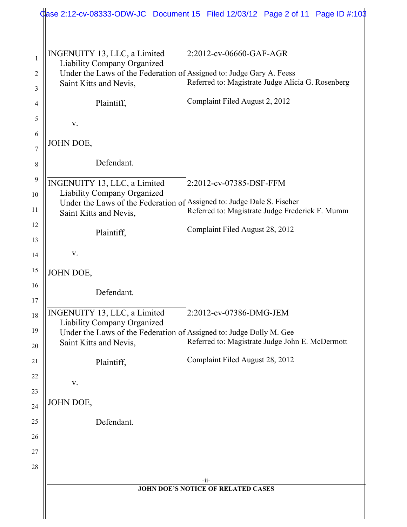| INGENUITY 13, LLC, a Limited<br>Liability Company Organized                                      | 2:2012-cv-06660-GAF-AGR                           |  |  |
|--------------------------------------------------------------------------------------------------|---------------------------------------------------|--|--|
| Under the Laws of the Federation of Assigned to: Judge Gary A. Feess                             |                                                   |  |  |
| Saint Kitts and Nevis,                                                                           | Referred to: Magistrate Judge Alicia G. Rosenberg |  |  |
| Plaintiff,                                                                                       | Complaint Filed August 2, 2012                    |  |  |
| V.                                                                                               |                                                   |  |  |
| JOHN DOE,                                                                                        |                                                   |  |  |
| Defendant.                                                                                       |                                                   |  |  |
| INGENUITY 13, LLC, a Limited                                                                     | 2:2012-cv-07385-DSF-FFM                           |  |  |
| Liability Company Organized                                                                      |                                                   |  |  |
| Under the Laws of the Federation of Assigned to: Judge Dale S. Fischer<br>Saint Kitts and Nevis, | Referred to: Magistrate Judge Frederick F. Mumm   |  |  |
|                                                                                                  |                                                   |  |  |
| Plaintiff,                                                                                       | Complaint Filed August 28, 2012                   |  |  |
| V.                                                                                               |                                                   |  |  |
| JOHN DOE,                                                                                        |                                                   |  |  |
| Defendant.                                                                                       |                                                   |  |  |
| INGENUITY 13, LLC, a Limited                                                                     | 2:2012-cv-07386-DMG-JEM                           |  |  |
| Liability Company Organized                                                                      |                                                   |  |  |
| Under the Laws of the Federation of Assigned to: Judge Dolly M. Gee<br>Saint Kitts and Nevis,    | Referred to: Magistrate Judge John E. McDermott   |  |  |
|                                                                                                  | Complaint Filed August 28, 2012                   |  |  |
| Plaintiff,                                                                                       |                                                   |  |  |
| V.                                                                                               |                                                   |  |  |
| JOHN DOE,                                                                                        |                                                   |  |  |
|                                                                                                  |                                                   |  |  |
| Defendant.                                                                                       |                                                   |  |  |
|                                                                                                  |                                                   |  |  |
|                                                                                                  |                                                   |  |  |
| $-i$ i-                                                                                          |                                                   |  |  |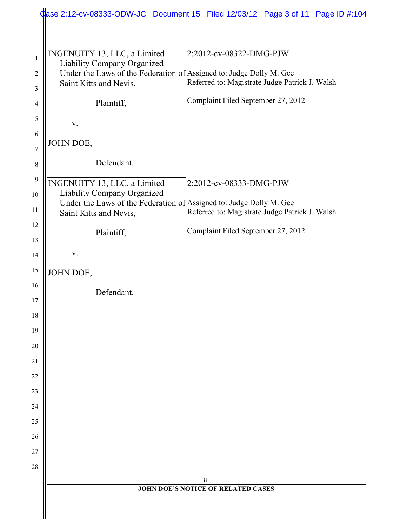|                   |                                                                                                                                                              | Case 2:12-cv-08333-ODW-JC Document 15 Filed 12/03/12 Page 3 of 11 Page ID #:104 |  |
|-------------------|--------------------------------------------------------------------------------------------------------------------------------------------------------------|---------------------------------------------------------------------------------|--|
|                   |                                                                                                                                                              |                                                                                 |  |
| $\mathbf{1}$<br>2 | INGENUITY 13, LLC, a Limited<br>Liability Company Organized<br>Under the Laws of the Federation of Assigned to: Judge Dolly M. Gee<br>Saint Kitts and Nevis, | 2:2012-cv-08322-DMG-PJW<br>Referred to: Magistrate Judge Patrick J. Walsh       |  |
| 3                 |                                                                                                                                                              | Complaint Filed September 27, 2012                                              |  |
| 4                 | Plaintiff,                                                                                                                                                   |                                                                                 |  |
| 5                 | V.                                                                                                                                                           |                                                                                 |  |
| 6<br>7            | JOHN DOE,                                                                                                                                                    |                                                                                 |  |
| $8\,$             | Defendant.                                                                                                                                                   |                                                                                 |  |
| 9<br>10<br>11     | INGENUITY 13, LLC, a Limited<br>Liability Company Organized<br>Under the Laws of the Federation of Assigned to: Judge Dolly M. Gee<br>Saint Kitts and Nevis, | 2:2012-cv-08333-DMG-PJW<br>Referred to: Magistrate Judge Patrick J. Walsh       |  |
| 12<br>13          | Plaintiff,                                                                                                                                                   | Complaint Filed September 27, 2012                                              |  |
| 14                | V.                                                                                                                                                           |                                                                                 |  |
| 15                | JOHN DOE,                                                                                                                                                    |                                                                                 |  |
| 16                | Defendant.                                                                                                                                                   |                                                                                 |  |
| 17                |                                                                                                                                                              |                                                                                 |  |
| 18                |                                                                                                                                                              |                                                                                 |  |
| 19                |                                                                                                                                                              |                                                                                 |  |
| 20<br>21          |                                                                                                                                                              |                                                                                 |  |
| 22                |                                                                                                                                                              |                                                                                 |  |
| 23                |                                                                                                                                                              |                                                                                 |  |
| 24                |                                                                                                                                                              |                                                                                 |  |
| 25                |                                                                                                                                                              |                                                                                 |  |
| 26                |                                                                                                                                                              |                                                                                 |  |
| 27                |                                                                                                                                                              |                                                                                 |  |
| 28                |                                                                                                                                                              |                                                                                 |  |
|                   |                                                                                                                                                              | -iii-                                                                           |  |
|                   | JOHN DOE'S NOTICE OF RELATED CASES                                                                                                                           |                                                                                 |  |
|                   |                                                                                                                                                              |                                                                                 |  |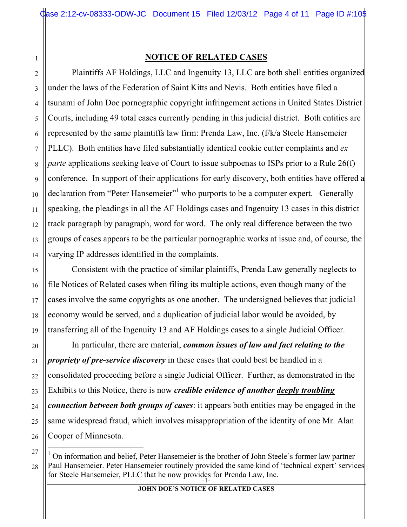1

2

3

4

5

6

7

8

9

10

11

12

13

14

15

16

17

18

19

20

21

22

23

24

25

26

## **NOTICE OF RELATED CASES**

Plaintiffs AF Holdings, LLC and Ingenuity 13, LLC are both shell entities organized under the laws of the Federation of Saint Kitts and Nevis. Both entities have filed a tsunami of John Doe pornographic copyright infringement actions in United States District Courts, including 49 total cases currently pending in this judicial district. Both entities are represented by the same plaintiffs law firm: Prenda Law, Inc. (f/k/a Steele Hansemeier PLLC). Both entities have filed substantially identical cookie cutter complaints and *ex parte* applications seeking leave of Court to issue subpoenas to ISPs prior to a Rule 26(f) conference. In support of their applications for early discovery, both entities have offered a declaration from "Peter Hansemeier"<sup>1</sup> who purports to be a computer expert. Generally speaking, the pleadings in all the AF Holdings cases and Ingenuity 13 cases in this district track paragraph by paragraph, word for word. The only real difference between the two groups of cases appears to be the particular pornographic works at issue and, of course, the varying IP addresses identified in the complaints.

Consistent with the practice of similar plaintiffs, Prenda Law generally neglects to file Notices of Related cases when filing its multiple actions, even though many of the cases involve the same copyrights as one another. The undersigned believes that judicial economy would be served, and a duplication of judicial labor would be avoided, by transferring all of the Ingenuity 13 and AF Holdings cases to a single Judicial Officer.

In particular, there are material, *common issues of law and fact relating to the propriety of pre-service discovery* in these cases that could best be handled in a consolidated proceeding before a single Judicial Officer. Further, as demonstrated in the Exhibits to this Notice, there is now *credible evidence of another deeply troubling connection between both groups of cases*: it appears both entities may be engaged in the same widespread fraud, which involves misappropriation of the identity of one Mr. Alan Cooper of Minnesota.

for Steele Hansemeier, PLLC that he now provides for Prenda Law, Inc. 28  $\frac{1}{1}$  $<sup>1</sup>$  On information and belief, Peter Hansemeier is the brother of John Steele's former law partner</sup> Paul Hansemeier. Peter Hansemeier routinely provided the same kind of 'technical expert' services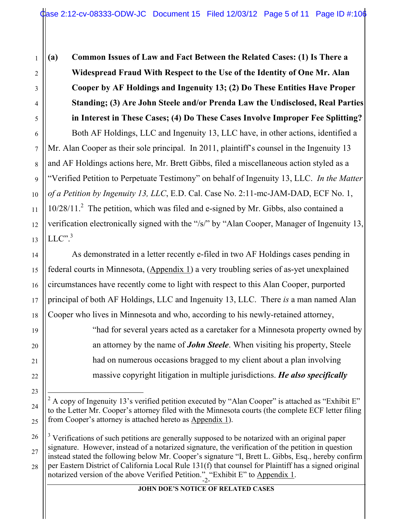**(a) Common Issues of Law and Fact Between the Related Cases: (1) Is There a Widespread Fraud With Respect to the Use of the Identity of One Mr. Alan Cooper by AF Holdings and Ingenuity 13; (2) Do These Entities Have Proper Standing; (3) Are John Steele and/or Prenda Law the Undisclosed, Real Parties in Interest in These Cases; (4) Do These Cases Involve Improper Fee Splitting?** Both AF Holdings, LLC and Ingenuity 13, LLC have, in other actions, identified a Mr. Alan Cooper as their sole principal. In 2011, plaintiff's counsel in the Ingenuity 13 and AF Holdings actions here, Mr. Brett Gibbs, filed a miscellaneous action styled as a "Verified Petition to Perpetuate Testimony" on behalf of Ingenuity 13, LLC. *In the Matter of a Petition by Ingenuity 13, LLC*, E.D. Cal. Case No. 2:11-mc-JAM-DAD, ECF No. 1, 10/28/11.<sup>2</sup> The petition, which was filed and e-signed by Mr. Gibbs, also contained a verification electronically signed with the "/s/" by "Alan Cooper, Manager of Ingenuity 13,  $LLC"$ <sup>3</sup>

As demonstrated in a letter recently e-filed in two AF Holdings cases pending in federal courts in Minnesota, (Appendix 1) a very troubling series of as-yet unexplained circumstances have recently come to light with respect to this Alan Cooper, purported principal of both AF Holdings, LLC and Ingenuity 13, LLC. There *is* a man named Alan Cooper who lives in Minnesota and who, according to his newly-retained attorney,

> "had for several years acted as a caretaker for a Minnesota property owned by an attorney by the name of *John Steele*. When visiting his property, Steele had on numerous occasions bragged to my client about a plan involving massive copyright litigation in multiple jurisdictions. *He also specifically*

notarized version of the above Verified Petition." "Exhibit E" to  $\Delta$ ppendix 1. <sup>3</sup> Verifications of such petitions are generally supposed to be notarized with an original paper signature. However, instead of a notarized signature, the verification of the petition in question instead stated the following below Mr. Cooper's signature "I, Brett L. Gibbs, Esq., hereby confirm per Eastern District of California Local Rule 131(f) that counsel for Plaintiff has a signed original

**JOHN DOE'S NOTICE OF RELATED CASES**

 $\frac{1}{2}$ <sup>2</sup> A copy of Ingenuity 13's verified petition executed by "Alan Cooper" is attached as "Exhibit E" to the Letter Mr. Cooper's attorney filed with the Minnesota courts (the complete ECF letter filing from Cooper's attorney is attached hereto as Appendix 1).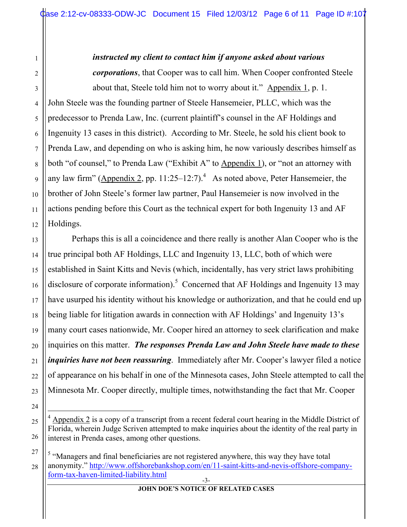#### *instructed my client to contact him if anyone asked about various*

*corporations*, that Cooper was to call him. When Cooper confronted Steele about that, Steele told him not to worry about it." Appendix 1, p. 1. John Steele was the founding partner of Steele Hansemeier, PLLC, which was the predecessor to Prenda Law, Inc. (current plaintiff's counsel in the AF Holdings and

Ingenuity 13 cases in this district). According to Mr. Steele, he sold his client book to Prenda Law, and depending on who is asking him, he now variously describes himself as both "of counsel," to Prenda Law ("Exhibit A" to Appendix 1), or "not an attorney with any law firm" (Appendix 2, pp. 11:25–12:7).<sup>4</sup> As noted above, Peter Hansemeier, the brother of John Steele's former law partner, Paul Hansemeier is now involved in the actions pending before this Court as the technical expert for both Ingenuity 13 and AF Holdings.

Perhaps this is all a coincidence and there really is another Alan Cooper who is the true principal both AF Holdings, LLC and Ingenuity 13, LLC, both of which were established in Saint Kitts and Nevis (which, incidentally, has very strict laws prohibiting disclosure of corporate information).<sup>5</sup> Concerned that AF Holdings and Ingenuity 13 may have usurped his identity without his knowledge or authorization, and that he could end up being liable for litigation awards in connection with AF Holdings' and Ingenuity 13's many court cases nationwide, Mr. Cooper hired an attorney to seek clarification and make inquiries on this matter. *The responses Prenda Law and John Steele have made to these inquiries have not been reassuring*. Immediately after Mr. Cooper's lawyer filed a notice of appearance on his behalf in one of the Minnesota cases, John Steele attempted to call the Minnesota Mr. Cooper directly, multiple times, notwithstanding the fact that Mr. Cooper

1

2

 $4$  Appendix 2 is a copy of a transcript from a recent federal court hearing in the Middle District of Florida, wherein Judge Scriven attempted to make inquiries about the identity of the real party in interest in Prenda cases, among other questions.

<sup>-3-</sup> <sup>5</sup> "Managers and final beneficiaries are not registered anywhere, this way they have total anonymity." http://www.offshorebankshop.com/en/11-saint-kitts-and-nevis-offshore-companyform-tax-haven-limited-liability.html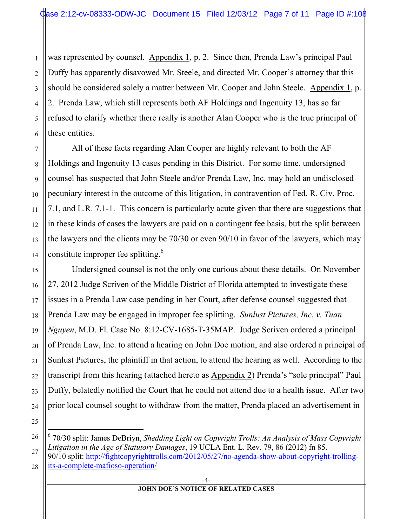2 3 was represented by counsel. Appendix 1, p. 2. Since then, Prenda Law's principal Paul Duffy has apparently disavowed Mr. Steele, and directed Mr. Cooper's attorney that this should be considered solely a matter between Mr. Cooper and John Steele. Appendix 1, p. 2. Prenda Law, which still represents both AF Holdings and Ingenuity 13, has so far refused to clarify whether there really is another Alan Cooper who is the true principal of these entities.

All of these facts regarding Alan Cooper are highly relevant to both the AF Holdings and Ingenuity 13 cases pending in this District. For some time, undersigned counsel has suspected that John Steele and/or Prenda Law, Inc. may hold an undisclosed pecuniary interest in the outcome of this litigation, in contravention of Fed. R. Civ. Proc. 7.1, and L.R. 7.1-1. This concern is particularly acute given that there are suggestions that in these kinds of cases the lawyers are paid on a contingent fee basis, but the split between the lawyers and the clients may be 70/30 or even 90/10 in favor of the lawyers, which may constitute improper fee splitting.<sup>6</sup>

Undersigned counsel is not the only one curious about these details. On November 27, 2012 Judge Scriven of the Middle District of Florida attempted to investigate these issues in a Prenda Law case pending in her Court, after defense counsel suggested that Prenda Law may be engaged in improper fee splitting. *Sunlust Pictures, Inc. v. Tuan Nguyen*, M.D. Fl. Case No. 8:12-CV-1685-T-35MAP. Judge Scriven ordered a principal of Prenda Law, Inc. to attend a hearing on John Doe motion, and also ordered a principal of Sunlust Pictures, the plaintiff in that action, to attend the hearing as well. According to the transcript from this hearing (attached hereto as Appendix 2) Prenda's "sole principal" Paul Duffy, belatedly notified the Court that he could not attend due to a health issue. After two prior local counsel sought to withdraw from the matter, Prenda placed an advertisement in

 <sup>6</sup> 70/30 split: James DeBriyn, *Shedding Light on Copyright Trolls: An Analysis of Mass Copyright Litigation in the Age of Statutory Damages*, 19 UCLA Ent. L. Rev. 79, 86 (2012) fn 85. 90/10 split: http://fightcopyrighttrolls.com/2012/05/27/no-agenda-show-about-copyright-trollingits-a-complete-mafioso-operation/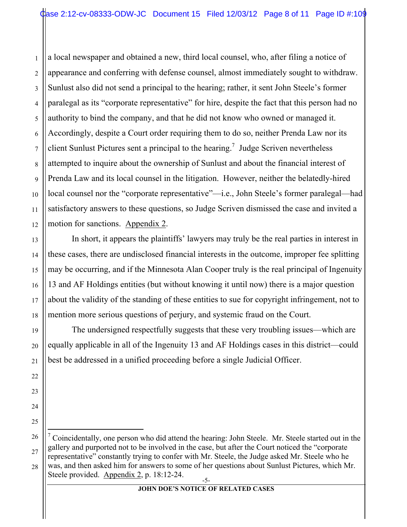1 2 3 4 5 6 7 8 9 10 11 12 a local newspaper and obtained a new, third local counsel, who, after filing a notice of appearance and conferring with defense counsel, almost immediately sought to withdraw. Sunlust also did not send a principal to the hearing; rather, it sent John Steele's former paralegal as its "corporate representative" for hire, despite the fact that this person had no authority to bind the company, and that he did not know who owned or managed it. Accordingly, despite a Court order requiring them to do so, neither Prenda Law nor its client Sunlust Pictures sent a principal to the hearing.<sup>7</sup> Judge Scriven nevertheless attempted to inquire about the ownership of Sunlust and about the financial interest of Prenda Law and its local counsel in the litigation. However, neither the belatedly-hired local counsel nor the "corporate representative"—i.e., John Steele's former paralegal—had satisfactory answers to these questions, so Judge Scriven dismissed the case and invited a motion for sanctions. Appendix 2.

In short, it appears the plaintiffs' lawyers may truly be the real parties in interest in these cases, there are undisclosed financial interests in the outcome, improper fee splitting may be occurring, and if the Minnesota Alan Cooper truly is the real principal of Ingenuity 13 and AF Holdings entities (but without knowing it until now) there is a major question about the validity of the standing of these entities to sue for copyright infringement, not to mention more serious questions of perjury, and systemic fraud on the Court.

13

14

15

16

17

18

19

20

21

22

23

24

25

The undersigned respectfully suggests that these very troubling issues—which are equally applicable in all of the Ingenuity 13 and AF Holdings cases in this district—could best be addressed in a unified proceeding before a single Judicial Officer.

<sup>-5-</sup> 26 27 28 7 <sup>7</sup> Coincidentally, one person who did attend the hearing: John Steele. Mr. Steele started out in the gallery and purported not to be involved in the case, but after the Court noticed the "corporate representative" constantly trying to confer with Mr. Steele, the Judge asked Mr. Steele who he was, and then asked him for answers to some of her questions about Sunlust Pictures, which Mr. Steele provided. Appendix 2, p. 18:12-24.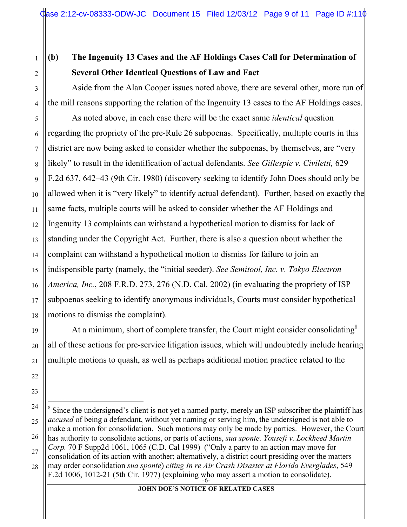1

2

3

4

5

6

7

8

9

10

11

12

13

14

15

16

17

18

19

20

21

22

23

# **(b) The Ingenuity 13 Cases and the AF Holdings Cases Call for Determination of Several Other Identical Questions of Law and Fact**

Aside from the Alan Cooper issues noted above, there are several other, more run of the mill reasons supporting the relation of the Ingenuity 13 cases to the AF Holdings cases.

As noted above, in each case there will be the exact same *identical* question regarding the propriety of the pre-Rule 26 subpoenas. Specifically, multiple courts in this district are now being asked to consider whether the subpoenas, by themselves, are "very likely" to result in the identification of actual defendants. *See Gillespie v. Civiletti,* 629 F.2d 637, 642–43 (9th Cir. 1980) (discovery seeking to identify John Does should only be allowed when it is "very likely" to identify actual defendant). Further, based on exactly the same facts, multiple courts will be asked to consider whether the AF Holdings and Ingenuity 13 complaints can withstand a hypothetical motion to dismiss for lack of standing under the Copyright Act. Further, there is also a question about whether the complaint can withstand a hypothetical motion to dismiss for failure to join an indispensible party (namely, the "initial seeder). *See Semitool, Inc. v. Tokyo Electron America, Inc.*, 208 F.R.D. 273, 276 (N.D. Cal. 2002) (in evaluating the propriety of ISP subpoenas seeking to identify anonymous individuals, Courts must consider hypothetical motions to dismiss the complaint).

At a minimum, short of complete transfer, the Court might consider consolidating  $8$ all of these actions for pre-service litigation issues, which will undoubtedly include hearing multiple motions to quash, as well as perhaps additional motion practice related to the

F.2d 1006, 1012-21 (5th Cir. 1977) (explaining who may assert a motion to consolidate). 24 25 26 27 28 8  $8$  Since the undersigned's client is not yet a named party, merely an ISP subscriber the plaintiff has *accused* of being a defendant, without yet naming or serving him, the undersigned is not able to make a motion for consolidation. Such motions may only be made by parties. However, the Court has authority to consolidate actions, or parts of actions, *sua sponte. Yousefi v. Lockheed Martin Corp.* 70 F Supp2d 1061, 1065 (C.D. Cal 1999) ("Only a party to an action may move for consolidation of its action with another; alternatively, a district court presiding over the matters may order consolidation *sua sponte*) *citing In re Air Crash Disaster at Florida Everglades*, 549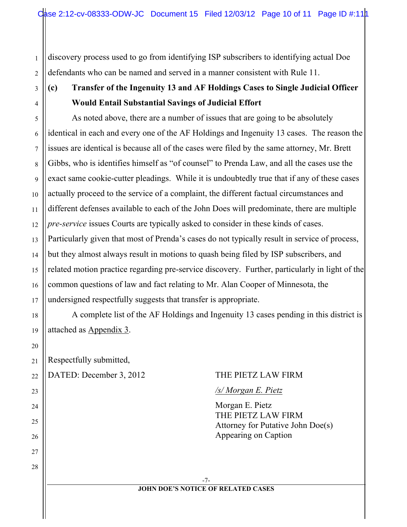discovery process used to go from identifying ISP subscribers to identifying actual Doe defendants who can be named and served in a manner consistent with Rule 11.

## **(c) Transfer of the Ingenuity 13 and AF Holdings Cases to Single Judicial Officer Would Entail Substantial Savings of Judicial Effort**

As noted above, there are a number of issues that are going to be absolutely identical in each and every one of the AF Holdings and Ingenuity 13 cases. The reason the issues are identical is because all of the cases were filed by the same attorney, Mr. Brett Gibbs, who is identifies himself as "of counsel" to Prenda Law, and all the cases use the exact same cookie-cutter pleadings. While it is undoubtedly true that if any of these cases actually proceed to the service of a complaint, the different factual circumstances and different defenses available to each of the John Does will predominate, there are multiple *pre-service* issues Courts are typically asked to consider in these kinds of cases. Particularly given that most of Prenda's cases do not typically result in service of process, but they almost always result in motions to quash being filed by ISP subscribers, and related motion practice regarding pre-service discovery. Further, particularly in light of the common questions of law and fact relating to Mr. Alan Cooper of Minnesota, the undersigned respectfully suggests that transfer is appropriate.

A complete list of the AF Holdings and Ingenuity 13 cases pending in this district is attached as Appendix 3.

Respectfully submitted,

1

2

3

4

5

6

7

8

9

10

11

12

13

14

15

16

17

18

19

20

21

22

23

24

25

26

27

28

## DATED: December 3, 2012 THE PIETZ LAW FIRM

## */s/ Morgan E. Pietz*

Morgan E. Pietz THE PIETZ LAW FIRM Attorney for Putative John Doe(s) Appearing on Caption